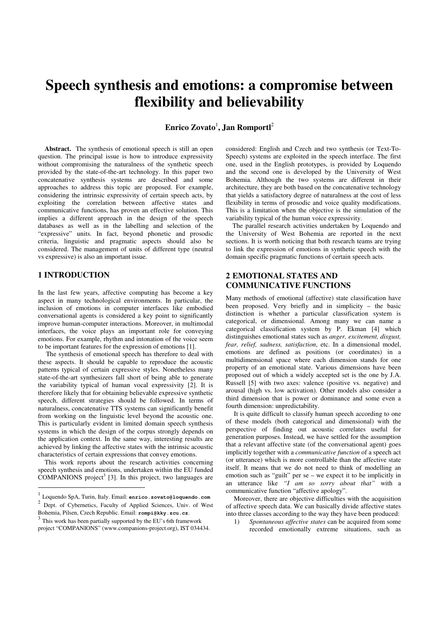# **Speech synthesis and emotions: a compromise between flexibility and believability**

 $\boldsymbol{\mathrm{Enrico\ Zovato}}^1$ , Jan Romportl $^2$ 

Abstract. The synthesis of emotional speech is still an open question. The principal issue is how to introduce expressivity without compromising the naturalness of the synthetic speech provided by the state-of-the-art technology. In this paper two concatenative synthesis systems are described and some approaches to address this topic are proposed. For example, considering the intrinsic expressivity of certain speech acts, by exploiting the correlation between affective states and communicative functions, has proven an effective solution. This implies a different approach in the design of the speech databases as well as in the labelling and selection of the "expressive" units. In fact, beyond phonetic and prosodic criteria, linguistic and pragmatic aspects should also be considered. The management of units of different type (neutral vs expressive) is also an important issue.

## **1 INTRODUCTION**

 $\overline{a}$ 

In the last few years, affective computing has become a key aspect in many technological environments. In particular, the inclusion of emotions in computer interfaces like embodied conversational agents is considered a key point to significantly improve human-computer interactions. Moreover, in multimodal interfaces, the voice plays an important role for conveying emotions. For example, rhythm and intonation of the voice seem to be important features for the expression of emotions [1].

The synthesis of emotional speech has therefore to deal with these aspects. It should be capable to reproduce the acoustic patterns typical of certain expressive styles. Nonetheless many state-of-the-art synthesizers fall short of being able to generate the variability typical of human vocal expressivity [2]. It is therefore likely that for obtaining believable expressive synthetic speech, different strategies should be followed. In terms of naturalness, concatenative TTS systems can significantly benefit from working on the linguistic level beyond the acoustic one. This is particularly evident in limited domain speech synthesis systems in which the design of the corpus strongly depends on the application context. In the same way, interesting results are achieved by linking the affective states with the intrinsic acoustic characteristics of certain expressions that convey emotions.

This work reports about the research activities concerning speech synthesis and emotions, undertaken within the EU funded  $COMPANIONS$  project<sup>3</sup> [3]. In this project, two languages are considered: English and Czech and two synthesis (or Text-To-Speech) systems are exploited in the speech interface. The first one, used in the English prototypes, is provided by Loquendo and the second one is developed by the University of West Bohemia. Although the two systems are different in their architecture, they are both based on the concatenative technology that yields a satisfactory degree of naturalness at the cost of less flexibility in terms of prosodic and voice quality modifications. This is a limitation when the objective is the simulation of the variability typical of the human voice expressivity.

The parallel research activities undertaken by Loquendo and the University of West Bohemia are reported in the next sections. It is worth noticing that both research teams are trying to link the expression of emotions in synthetic speech with the domain specific pragmatic functions of certain speech acts.

## **2 EMOTIONAL STATES AND COMMUNICATIVE FUNCTIONS**

Many methods of emotional (affective) state classification have been proposed. Very briefly and in simplicity – the basic distinction is whether a particular classification system is categorical, or dimensional. Among many we can name a categorical classification system by P. Ekman [4] which distinguishes emotional states such as *anger, excitement, disgust, fear, relief, sadness, satisfaction*, etc. In a dimensional model, emotions are defined as positions (or coordinates) in a multidimensional space where each dimension stands for one property of an emotional state. Various dimensions have been proposed out of which a widely accepted set is the one by J.A. Russell [5] with two axes: valence (positive vs. negative) and arousal (high vs. low activation). Other models also consider a third dimension that is power or dominance and some even a fourth dimension: unpredictability.

It is quite difficult to classify human speech according to one of these models (both categorical and dimensional) with the perspective of finding out acoustic correlates useful for generation purposes. Instead, we have settled for the assumption that a relevant affective state (of the conversational agent) goes implicitly together with a *communicative function* of a speech act (or utterance) which is more controllable than the affective state itself. It means that we do not need to think of modelling an emotion such as "guilt" per se – we expect it to be implicitly in an utterance like *"I am so sorry about that"* with a communicative function "affective apology".

Moreover, there are objective difficulties with the acquisition of affective speech data. We can basically divide affective states into three classes according to the way they have been produced:

1) *Spontaneous affective states* can be acquired from some recorded emotionally extreme situations, such as

<sup>1</sup> Loquendo SpA, Turin, Italy. Email: **enrico.zovato@loquendo.com**

<sup>2</sup> Dept. of Cybernetics, Faculty of Applied Sciences, Univ. of West Bohemia, Pilsen, Czech Republic. Email: **rompi@kky.zcu.cz**.

<sup>&</sup>lt;sup>3</sup> This work has been partially supported by the EU's 6th framework project "COMPANIONS" (www.companions-project.org), IST 034434.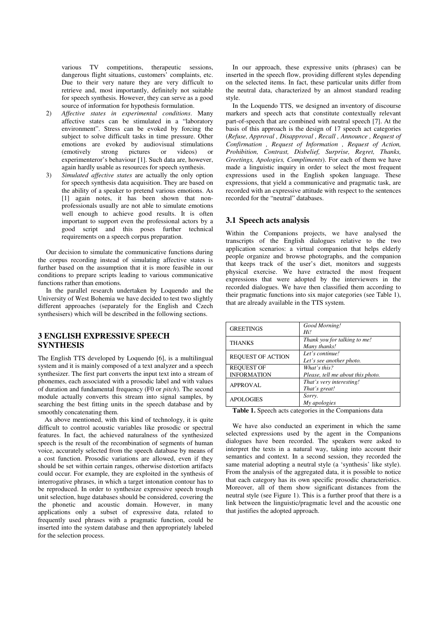various TV competitions, therapeutic sessions, dangerous flight situations, customers' complaints, etc. Due to their very nature they are very difficult to retrieve and, most importantly, definitely not suitable for speech synthesis. However, they can serve as a good source of information for hypothesis formulation.

- 2) *Affective states in experimental conditions*. Many affective states can be stimulated in a "laboratory environment". Stress can be evoked by forcing the subject to solve difficult tasks in time pressure. Other emotions are evoked by audiovisual stimulations (emotively strong pictures or videos) or experimenteror's behaviour [1]. Such data are, however, again hardly usable as resources for speech synthesis.
- 3) *Simulated affective states* are actually the only option for speech synthesis data acquisition. They are based on the ability of a speaker to pretend various emotions. As [1] again notes, it has been shown that nonprofessionals usually are not able to simulate emotions well enough to achieve good results. It is often important to support even the professional actors by a good script and this poses further technical requirements on a speech corpus preparation.

Our decision to simulate the communicative functions during the corpus recording instead of simulating affective states is further based on the assumption that it is more feasible in our conditions to prepare scripts leading to various communicative functions rather than emotions.

In the parallel research undertaken by Loquendo and the University of West Bohemia we have decided to test two slightly different approaches (separately for the English and Czech synthesisers) which will be described in the following sections.

## **3 ENGLISH EXPRESSIVE SPEECH SYNTHESIS**

The English TTS developed by Loquendo [6], is a multilingual system and it is mainly composed of a text analyzer and a speech synthesizer. The first part converts the input text into a stream of phonemes, each associated with a prosodic label and with values of duration and fundamental frequency (F0 or *pitch*). The second module actually converts this stream into signal samples, by searching the best fitting units in the speech database and by smoothly concatenating them.

As above mentioned, with this kind of technology, it is quite difficult to control acoustic variables like prosodic or spectral features. In fact, the achieved naturalness of the synthesized speech is the result of the recombination of segments of human voice, accurately selected from the speech database by means of a cost function. Prosodic variations are allowed, even if they should be set within certain ranges, otherwise distortion artifacts could occur. For example, they are exploited in the synthesis of interrogative phrases, in which a target intonation contour has to be reproduced. In order to synthesize expressive speech trough unit selection, huge databases should be considered, covering the the phonetic and acoustic domain. However, in many applications only a subset of expressive data, related to frequently used phrases with a pragmatic function, could be inserted into the system database and then appropriately labeled for the selection process.

In our approach, these expressive units (phrases) can be inserted in the speech flow, providing different styles depending on the selected items. In fact, these particular units differ from the neutral data, characterized by an almost standard reading style.

In the Loquendo TTS, we designed an inventory of discourse markers and speech acts that constitute contextually relevant part-of-speech that are combined with neutral speech [7]. At the basis of this approach is the design of 17 speech act categories (*Refuse, Approval , Disapproval , Recall , Announce , Request of Confirmation , Request of Information , Request of Action, Prohibition, Contrast, Disbelief, Surprise, Regret, Thanks, Greetings, Apologies, Compliments*). For each of them we have made a linguistic inquiry in order to select the most frequent expressions used in the English spoken language. These expressions, that yield a communicative and pragmatic task, are recorded with an expressive attitude with respect to the sentences recorded for the "neutral" databases.

### **3.1 Speech acts analysis**

Within the Companions projects, we have analysed the transcripts of the English dialogues relative to the two application scenarios: a virtual companion that helps elderly people organize and browse photographs, and the companion that keeps track of the user's diet, monitors and suggests physical exercise. We have extracted the most frequent expressions that were adopted by the interviewers in the recorded dialogues. We have then classified them according to their pragmatic functions into six major categories (see Table 1), that are already available in the TTS system.

| <b>GREETINGS</b>         | Good Morning!<br>Hi!                         |
|--------------------------|----------------------------------------------|
| <b>THANKS</b>            | Thank you for talking to me!<br>Many thanks! |
| <b>REQUEST OF ACTION</b> | Let's continue!<br>Let's see another photo.  |
| <b>REQUEST OF</b>        | What's this?                                 |
| <b>INFORMATION</b>       | Please, tell me about this photo.            |
| <b>APPROVAL</b>          | That's very interesting!<br>That's great!    |
| <b>APOLOGIES</b>         | Sorry.<br>My apologies                       |
|                          |                                              |

**Table 1.** Speech acts categories in the Companions data

We have also conducted an experiment in which the same selected expressions used by the agent in the Companions dialogues have been recorded. The speakers were asked to interpret the texts in a natural way, taking into account their semantics and context. In a second session, they recorded the same material adopting a neutral style (a 'synthesis' like style). From the analysis of the aggregated data, it is possible to notice that each category has its own specific prosodic characteristics. Moreover, all of them show significant distances from the neutral style (see Figure 1). This is a further proof that there is a link between the linguistic/pragmatic level and the acoustic one that justifies the adopted approach.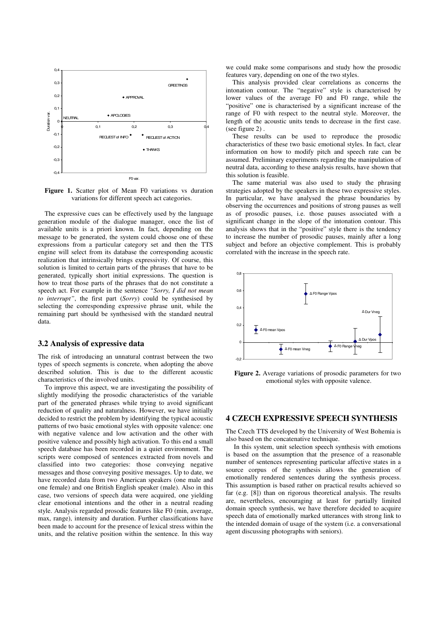

Figure 1. Scatter plot of Mean F0 variations vs duration variations for different speech act categories.

The expressive cues can be effectively used by the language generation module of the dialogue manager, once the list of available units is a priori known. In fact, depending on the message to be generated, the system could choose one of these expressions from a particular category set and then the TTS engine will select from its database the corresponding acoustic realization that intrinsically brings expressivity. Of course, this solution is limited to certain parts of the phrases that have to be generated, typically short initial expressions. The question is how to treat those parts of the phrases that do not constitute a speech act. For example in the sentence *"Sorry, I did not mean to interrupt"*, the first part (*Sorry*) could be synthesised by selecting the corresponding expressive phrase unit, while the remaining part should be synthesised with the standard neutral data.

#### **3.2 Analysis of expressive data**

The risk of introducing an unnatural contrast between the two types of speech segments is concrete, when adopting the above described solution. This is due to the different acoustic characteristics of the involved units.

To improve this aspect, we are investigating the possibility of slightly modifying the prosodic characteristics of the variable part of the generated phrases while trying to avoid significant reduction of quality and naturalness. However, we have initially decided to restrict the problem by identifying the typical acoustic patterns of two basic emotional styles with opposite valence: one with negative valence and low activation and the other with positive valence and possibly high activation. To this end a small speech database has been recorded in a quiet environment. The scripts were composed of sentences extracted from novels and classified into two categories: those conveying negative messages and those conveying positive messages. Up to date, we have recorded data from two American speakers (one male and one female) and one British English speaker (male). Also in this case, two versions of speech data were acquired, one yielding clear emotional intentions and the other in a neutral reading style. Analysis regarded prosodic features like F0 (min, average, max, range), intensity and duration. Further classifications have been made to account for the presence of lexical stress within the units, and the relative position within the sentence. In this way we could make some comparisons and study how the prosodic features vary, depending on one of the two styles.

This analysis provided clear correlations as concerns the intonation contour. The "negative" style is characterised by lower values of the average F0 and F0 range, while the "positive" one is characterised by a significant increase of the range of F0 with respect to the neutral style. Moreover, the length of the acoustic units tends to decrease in the first case. (see figure 2) .

These results can be used to reproduce the prosodic characteristics of these two basic emotional styles. In fact, clear information on how to modify pitch and speech rate can be assumed. Preliminary experiments regarding the manipulation of neutral data, according to these analysis results, have shown that this solution is feasible.

The same material was also used to study the phrasing strategies adopted by the speakers in these two expressive styles. In particular, we have analysed the phrase boundaries by observing the occurrences and positions of strong pauses as well as of prosodic pauses, i.e. those pauses associated with a significant change in the slope of the intonation contour. This analysis shows that in the "positive" style there is the tendency to increase the number of prosodic pauses, mainly after a long subject and before an objective complement. This is probably correlated with the increase in the speech rate.



**Figure 2.** Average variations of prosodic parameters for two emotional styles with opposite valence.

#### **4 CZECH EXPRESSIVE SPEECH SYNTHESIS**

The Czech TTS developed by the University of West Bohemia is also based on the concatenative technique.

In this system, unit selection speech synthesis with emotions is based on the assumption that the presence of a reasonable number of sentences representing particular affective states in a source corpus of the synthesis allows the generation of emotionally rendered sentences during the synthesis process. This assumption is based rather on practical results achieved so far (e.g. [8]) than on rigorous theoretical analysis. The results are, nevertheless, encouraging at least for partially limited domain speech synthesis, we have therefore decided to acquire speech data of emotionally marked utterances with strong link to the intended domain of usage of the system (i.e. a conversational agent discussing photographs with seniors).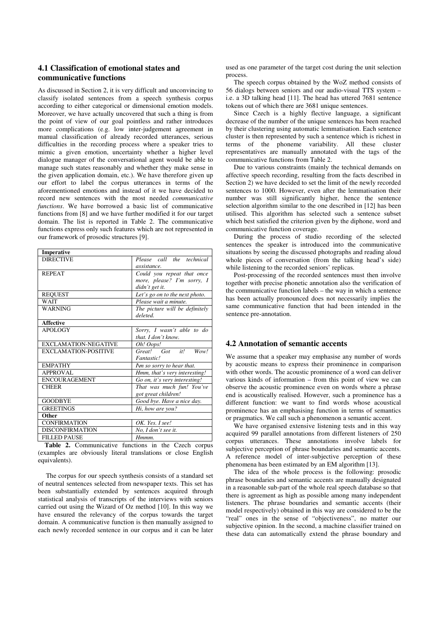## **4.1 Classification of emotional states and communicative functions**

As discussed in Section 2, it is very difficult and unconvincing to classify isolated sentences from a speech synthesis corpus according to either categorical or dimensional emotion models. Moreover, we have actually uncovered that such a thing is from the point of view of our goal pointless and rather introduces more complications (e.g. low inter-judgement agreement in manual classification of already recorded utterances, serious difficulties in the recording process where a speaker tries to mimic a given emotion, uncertainty whether a higher level dialogue manager of the conversational agent would be able to manage such states reasonably and whether they make sense in the given application domain, etc.). We have therefore given up our effort to label the corpus utterances in terms of the aforementioned emotions and instead of it we have decided to record new sentences with the most needed *communicative functions*. We have borrowed a basic list of communicative functions from [8] and we have further modified it for our target domain. The list is reported in Table 2. The communicative functions express only such features which are not represented in our framework of prosodic structures [9].

| Imperative                  |                                |
|-----------------------------|--------------------------------|
| <b>DIRECTIVE</b>            | Please call the technical      |
|                             | assistance.                    |
| <b>REPEAT</b>               | Could you repeat that once     |
|                             | more, please? I'm sorry, I     |
|                             | didn't get it.                 |
| <b>REOUEST</b>              | Let's go on to the next photo. |
| WAIT                        | Please wait a minute.          |
| <b>WARNING</b>              | The picture will be definitely |
|                             | deleted.                       |
| <b>Affective</b>            |                                |
| <b>APOLOGY</b>              | Sorry, I wasn't able to do     |
|                             | that. I don't know.            |
| <b>EXCLAMATION-NEGATIVE</b> | Oh! Oops!                      |
| <b>EXCLAMATION-POSITIVE</b> | Great! Got it!<br>Wow!         |
|                             | Fantastic!                     |
| <b>EMPATHY</b>              | I'm so sorry to hear that.     |
| APPROVAL                    | Hmm, that's very interesting!  |
| <b>ENCOURAGEMENT</b>        | Go on, it's very interesting!  |
| <b>CHEER</b>                | That was much fun! You've      |
|                             | got great children!            |
| <b>GOODBYE</b>              | Good bye. Have a nice day.     |
| <b>GREETINGS</b>            | Hi, how are you?               |
| Other                       |                                |
| <b>CONFIRMATION</b>         | OK. Yes. I see!                |
| <b>DISCONFIRMATION</b>      | No, I don't see it.            |
| <b>FILLED PAUSE</b>         | Hmmm.                          |

**Table 2.** Communicative functions in the Czech corpus (examples are obviously literal translations or close English equivalents).

The corpus for our speech synthesis consists of a standard set of neutral sentences selected from newspaper texts. This set has been substantially extended by sentences acquired through statistical analysis of transcripts of the interviews with seniors carried out using the Wizard of Oz method [10]. In this way we have ensured the relevancy of the corpus towards the target domain. A communicative function is then manually assigned to each newly recorded sentence in our corpus and it can be later used as one parameter of the target cost during the unit selection process.

The speech corpus obtained by the WoZ method consists of 56 dialogs between seniors and our audio-visual TTS system – i.e. a 3D talking head [11]. The head has uttered 7681 sentence tokens out of which there are 3681 unique sentences.

Since Czech is a highly flective language, a significant decrease of the number of the unique sentences has been reached by their clustering using automatic lemmatisation. Each sentence cluster is then represented by such a sentence which is richest in terms of the phoneme variability. All these cluster representatives are manually annotated with the tags of the communicative functions from Table 2.

Due to various constraints (mainly the technical demands on affective speech recording, resulting from the facts described in Section 2) we have decided to set the limit of the newly recorded sentences to 1000. However, even after the lemmatisation their number was still significantly higher, hence the sentence selection algorithm similar to the one described in [12] has been utilised. This algorithm has selected such a sentence subset which best satisfied the criterion given by the diphone, word and communicative function coverage.

During the process of studio recording of the selected sentences the speaker is introduced into the communicative situations by seeing the discussed photographs and reading aloud whole pieces of conversation (from the talking head's side) while listening to the recorded seniors' replicas.

Post-processing of the recorded sentences must then involve together with precise phonetic annotation also the verification of the communicative function labels – the way in which a sentence has been actually pronounced does not necessarily implies the same communicative function that had been intended in the sentence pre-annotation.

## **4.2 Annotation of semantic accents**

We assume that a speaker may emphasise any number of words by acoustic means to express their prominence in comparison with other words. The acoustic prominence of a word can deliver various kinds of information – from this point of view we can observe the acoustic prominence even on words where a phrase end is acoustically realised. However, such a prominence has a different function: we want to find words whose acoustical prominence has an emphasising function in terms of semantics or pragmatics. We call such a phenomenon a semantic accent.

We have organised extensive listening tests and in this way acquired 99 parallel annotations from different listeners of 250 corpus utterances. These annotations involve labels for subjective perception of phrase boundaries and semantic accents. A reference model of inter-subjective perception of these phenomena has been estimated by an EM algorithm [13].

The idea of the whole process is the following: prosodic phrase boundaries and semantic accents are manually designated in a reasonable sub-part of the whole real speech database so that there is agreement as high as possible among many independent listeners. The phrase boundaries and semantic accents (their model respectively) obtained in this way are considered to be the "real" ones in the sense of "objectiveness", no matter our subjective opinion. In the second, a machine classifier trained on these data can automatically extend the phrase boundary and